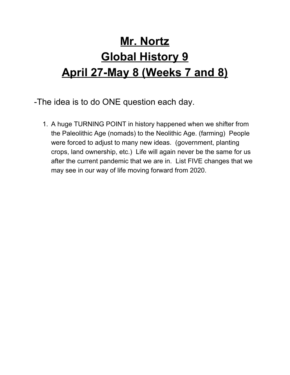## **Mr. Nortz Global History 9 April 27-May 8 (Weeks 7 and 8)**

- -The idea is to do ONE question each day.
	- 1. A huge TURNING POINT in history happened when we shifter from the Paleolithic Age (nomads) to the Neolithic Age. (farming) People were forced to adjust to many new ideas. (government, planting crops, land ownership, etc.) Life will again never be the same for us after the current pandemic that we are in. List FIVE changes that we may see in our way of life moving forward from 2020.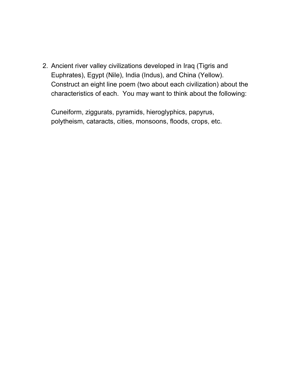2. Ancient river valley civilizations developed in Iraq (Tigris and Euphrates), Egypt (Nile), India (Indus), and China (Yellow). Construct an eight line poem (two about each civilization) about the characteristics of each. You may want to think about the following:

Cuneiform, ziggurats, pyramids, hieroglyphics, papyrus, polytheism, cataracts, cities, monsoons, floods, crops, etc.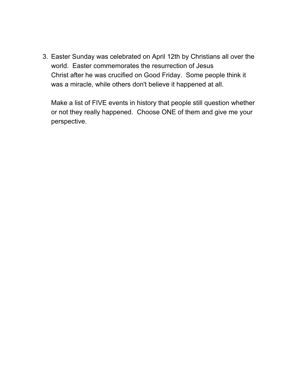3. Easter Sunday was celebrated on April 12th by Christians all over the world. Easter commemorates the resurrection of Jesus Christ after he was crucified on Good Friday. Some people think it was a miracle, while others don't believe it happened at all.

Make a list of FIVE events in history that people still question whether or not they really happened. Choose ONE of them and give me your perspective.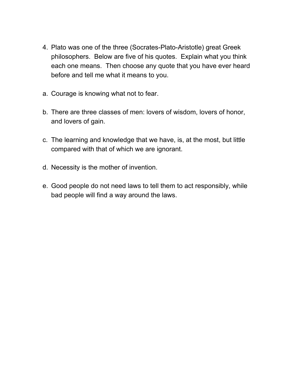- 4. Plato was one of the three (Socrates-Plato-Aristotle) great Greek philosophers. Below are five of his quotes. Explain what you think each one means. Then choose any quote that you have ever heard before and tell me what it means to you.
- a. Courage is knowing what not to fear.
- b. There are three classes of men: lovers of wisdom, lovers of honor, and lovers of gain.
- c. The learning and knowledge that we have, is, at the most, but little compared with that of which we are ignorant.
- d. Necessity is the mother of invention.
- e. Good people do not need laws to tell them to act responsibly, while bad people will find a way around the laws.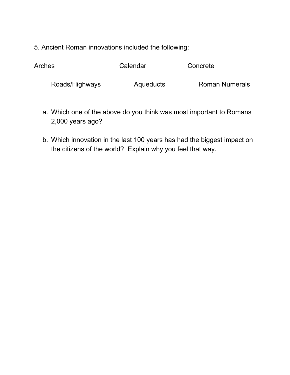5. Ancient Roman innovations included the following:

| <b>Roman Numerals</b><br>Roads/Highways<br>Aqueducts |  |
|------------------------------------------------------|--|

- a. Which one of the above do you think was most important to Romans 2,000 years ago?
- b. Which innovation in the last 100 years has had the biggest impact on the citizens of the world? Explain why you feel that way.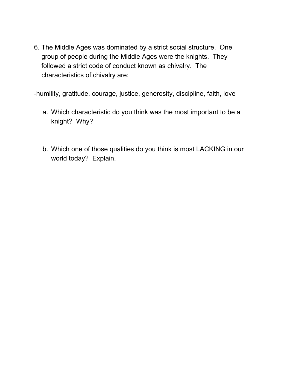6. The Middle Ages was dominated by a strict social structure. One group of people during the Middle Ages were the knights. They followed a strict code of conduct known as chivalry. The characteristics of chivalry are:

-humility, gratitude, courage, justice, generosity, discipline, faith, love

- a. Which characteristic do you think was the most important to be a knight? Why?
- b. Which one of those qualities do you think is most LACKING in our world today? Explain.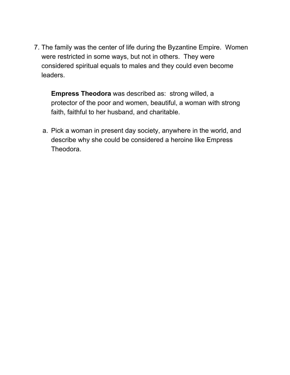7. The family was the center of life during the Byzantine Empire. Women were restricted in some ways, but not in others. They were considered spiritual equals to males and they could even become leaders.

**Empress Theodora** was described as: strong willed, a protector of the poor and women, beautiful, a woman with strong faith, faithful to her husband, and charitable.

a. Pick a woman in present day society, anywhere in the world, and describe why she could be considered a heroine like Empress Theodora.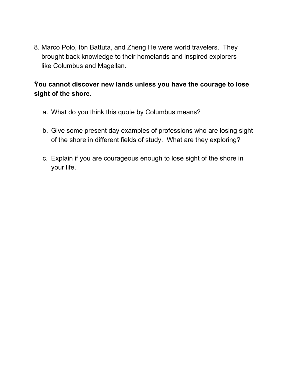8. Marco Polo, Ibn Battuta, and Zheng He were world travelers. They brought back knowledge to their homelands and inspired explorers like Columbus and Magellan.

## **Ÿou cannot discover new lands unless you have the courage to lose sight of the shore.**

- a. What do you think this quote by Columbus means?
- b. Give some present day examples of professions who are losing sight of the shore in different fields of study. What are they exploring?
- c. Explain if you are courageous enough to lose sight of the shore in your life.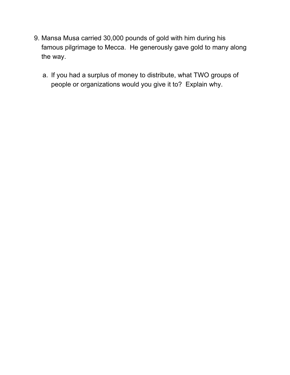- 9. Mansa Musa carried 30,000 pounds of gold with him during his famous pilgrimage to Mecca. He generously gave gold to many along the way.
	- a. If you had a surplus of money to distribute, what TWO groups of people or organizations would you give it to? Explain why.